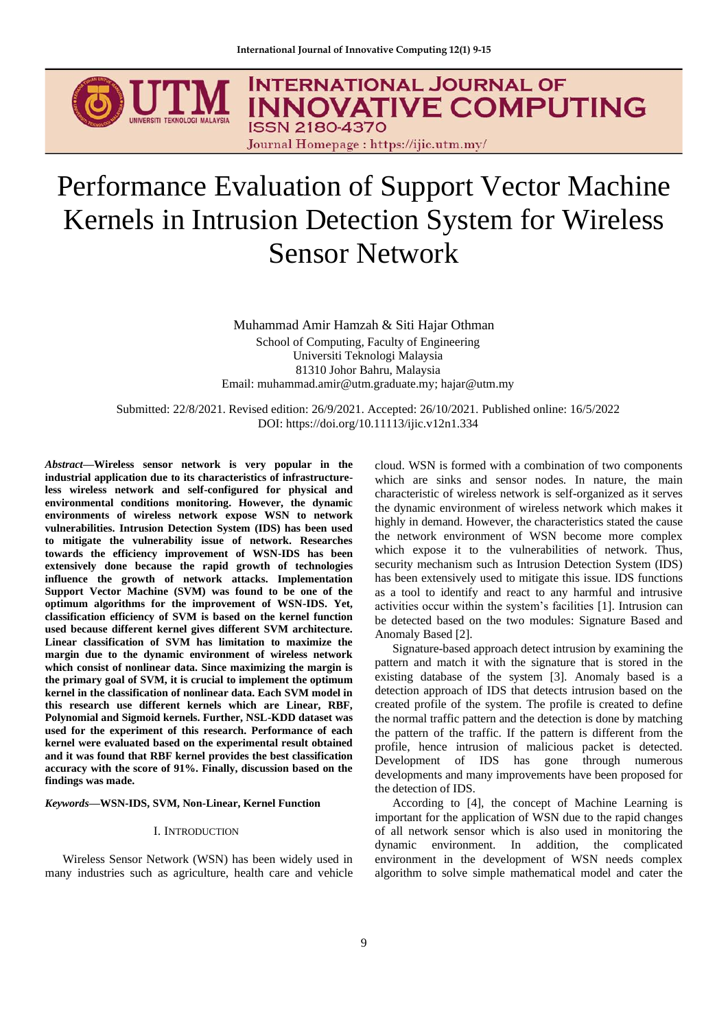

# Performance Evaluation of Support Vector Machine Kernels in Intrusion Detection System for Wireless Sensor Network

Muhammad Amir Hamzah & Siti Hajar Othman School of Computing, Faculty of Engineering Universiti Teknologi Malaysia 81310 Johor Bahru, Malaysia Email: muhammad.amir@utm.graduate.my; hajar@utm.my

Submitted: 22/8/2021. Revised edition: 26/9/2021. Accepted: 26/10/2021. Published online: 16/5/2022 DOI: https://doi.org/10.11113/ijic.v12n1.334

*Abstract***—Wireless sensor network is very popular in the industrial application due to its characteristics of infrastructureless wireless network and self-configured for physical and environmental conditions monitoring. However, the dynamic environments of wireless network expose WSN to network vulnerabilities. Intrusion Detection System (IDS) has been used to mitigate the vulnerability issue of network. Researches towards the efficiency improvement of WSN-IDS has been extensively done because the rapid growth of technologies influence the growth of network attacks. Implementation Support Vector Machine (SVM) was found to be one of the optimum algorithms for the improvement of WSN-IDS. Yet, classification efficiency of SVM is based on the kernel function used because different kernel gives different SVM architecture. Linear classification of SVM has limitation to maximize the margin due to the dynamic environment of wireless network which consist of nonlinear data. Since maximizing the margin is the primary goal of SVM, it is crucial to implement the optimum kernel in the classification of nonlinear data. Each SVM model in this research use different kernels which are Linear, RBF, Polynomial and Sigmoid kernels. Further, NSL-KDD dataset was used for the experiment of this research. Performance of each kernel were evaluated based on the experimental result obtained and it was found that RBF kernel provides the best classification accuracy with the score of 91%. Finally, discussion based on the findings was made.**

*Keywords***—WSN-IDS, SVM, Non-Linear, Kernel Function**

#### I. INTRODUCTION

Wireless Sensor Network (WSN) has been widely used in many industries such as agriculture, health care and vehicle cloud. WSN is formed with a combination of two components which are sinks and sensor nodes. In nature, the main characteristic of wireless network is self-organized as it serves the dynamic environment of wireless network which makes it highly in demand. However, the characteristics stated the cause the network environment of WSN become more complex which expose it to the vulnerabilities of network. Thus, security mechanism such as Intrusion Detection System (IDS) has been extensively used to mitigate this issue. IDS functions as a tool to identify and react to any harmful and intrusive activities occur within the system's facilities [1]. Intrusion can be detected based on the two modules: Signature Based and Anomaly Based [2].

Signature-based approach detect intrusion by examining the pattern and match it with the signature that is stored in the existing database of the system [3]. Anomaly based is a detection approach of IDS that detects intrusion based on the created profile of the system. The profile is created to define the normal traffic pattern and the detection is done by matching the pattern of the traffic. If the pattern is different from the profile, hence intrusion of malicious packet is detected. Development of IDS has gone through numerous developments and many improvements have been proposed for the detection of IDS.

According to [4], the concept of Machine Learning is important for the application of WSN due to the rapid changes of all network sensor which is also used in monitoring the dynamic environment. In addition, the complicated environment in the development of WSN needs complex algorithm to solve simple mathematical model and cater the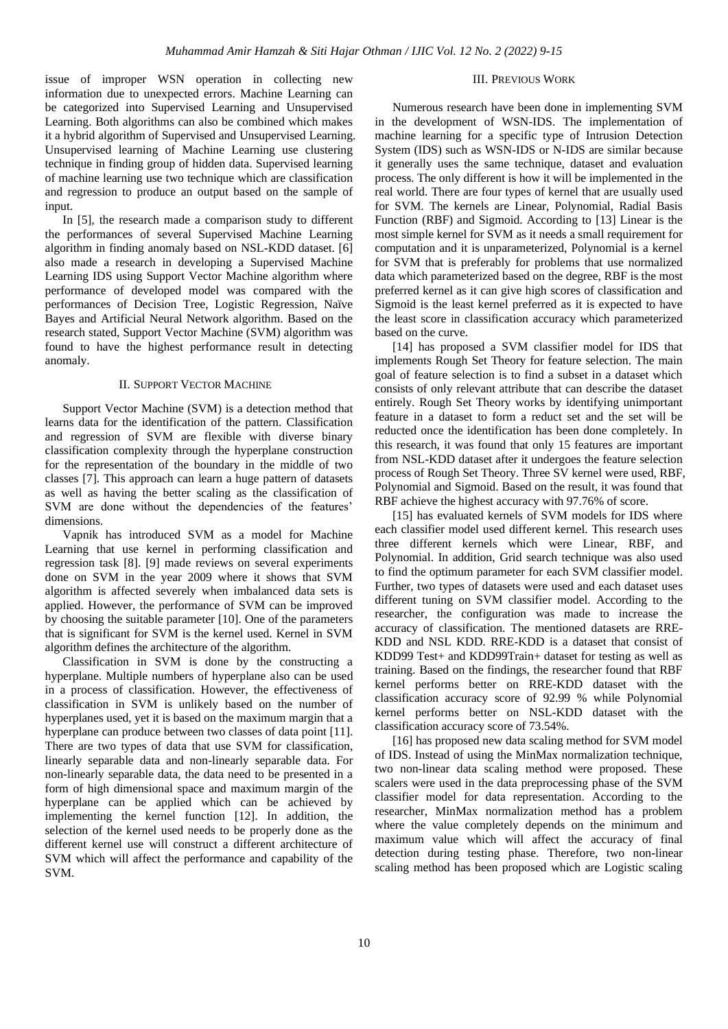issue of improper WSN operation in collecting new information due to unexpected errors. Machine Learning can be categorized into Supervised Learning and Unsupervised Learning. Both algorithms can also be combined which makes it a hybrid algorithm of Supervised and Unsupervised Learning. Unsupervised learning of Machine Learning use clustering technique in finding group of hidden data. Supervised learning of machine learning use two technique which are classification and regression to produce an output based on the sample of input.

In [5], the research made a comparison study to different the performances of several Supervised Machine Learning algorithm in finding anomaly based on NSL-KDD dataset. [6] also made a research in developing a Supervised Machine Learning IDS using Support Vector Machine algorithm where performance of developed model was compared with the performances of Decision Tree, Logistic Regression, Naïve Bayes and Artificial Neural Network algorithm. Based on the research stated, Support Vector Machine (SVM) algorithm was found to have the highest performance result in detecting anomaly.

# II. SUPPORT VECTOR MACHINE

Support Vector Machine (SVM) is a detection method that learns data for the identification of the pattern. Classification and regression of SVM are flexible with diverse binary classification complexity through the hyperplane construction for the representation of the boundary in the middle of two classes [7]. This approach can learn a huge pattern of datasets as well as having the better scaling as the classification of SVM are done without the dependencies of the features' dimensions.

Vapnik has introduced SVM as a model for Machine Learning that use kernel in performing classification and regression task [8]. [9] made reviews on several experiments done on SVM in the year 2009 where it shows that SVM algorithm is affected severely when imbalanced data sets is applied. However, the performance of SVM can be improved by choosing the suitable parameter [10]. One of the parameters that is significant for SVM is the kernel used. Kernel in SVM algorithm defines the architecture of the algorithm.

Classification in SVM is done by the constructing a hyperplane. Multiple numbers of hyperplane also can be used in a process of classification. However, the effectiveness of classification in SVM is unlikely based on the number of hyperplanes used, yet it is based on the maximum margin that a hyperplane can produce between two classes of data point [11]. There are two types of data that use SVM for classification, linearly separable data and non-linearly separable data. For non-linearly separable data, the data need to be presented in a form of high dimensional space and maximum margin of the hyperplane can be applied which can be achieved by implementing the kernel function [12]. In addition, the selection of the kernel used needs to be properly done as the different kernel use will construct a different architecture of SVM which will affect the performance and capability of the SVM.

### III. PREVIOUS WORK

Numerous research have been done in implementing SVM in the development of WSN-IDS. The implementation of machine learning for a specific type of Intrusion Detection System (IDS) such as WSN-IDS or N-IDS are similar because it generally uses the same technique, dataset and evaluation process. The only different is how it will be implemented in the real world. There are four types of kernel that are usually used for SVM. The kernels are Linear, Polynomial, Radial Basis Function (RBF) and Sigmoid. According to [13] Linear is the most simple kernel for SVM as it needs a small requirement for computation and it is unparameterized, Polynomial is a kernel for SVM that is preferably for problems that use normalized data which parameterized based on the degree, RBF is the most preferred kernel as it can give high scores of classification and Sigmoid is the least kernel preferred as it is expected to have the least score in classification accuracy which parameterized based on the curve.

[14] has proposed a SVM classifier model for IDS that implements Rough Set Theory for feature selection. The main goal of feature selection is to find a subset in a dataset which consists of only relevant attribute that can describe the dataset entirely. Rough Set Theory works by identifying unimportant feature in a dataset to form a reduct set and the set will be reducted once the identification has been done completely. In this research, it was found that only 15 features are important from NSL-KDD dataset after it undergoes the feature selection process of Rough Set Theory. Three SV kernel were used, RBF, Polynomial and Sigmoid. Based on the result, it was found that RBF achieve the highest accuracy with 97.76% of score.

[15] has evaluated kernels of SVM models for IDS where each classifier model used different kernel. This research uses three different kernels which were Linear, RBF, and Polynomial. In addition, Grid search technique was also used to find the optimum parameter for each SVM classifier model. Further, two types of datasets were used and each dataset uses different tuning on SVM classifier model. According to the researcher, the configuration was made to increase the accuracy of classification. The mentioned datasets are RRE-KDD and NSL KDD. RRE-KDD is a dataset that consist of KDD99 Test+ and KDD99Train+ dataset for testing as well as training. Based on the findings, the researcher found that RBF kernel performs better on RRE-KDD dataset with the classification accuracy score of 92.99 % while Polynomial kernel performs better on NSL-KDD dataset with the classification accuracy score of 73.54%.

[16] has proposed new data scaling method for SVM model of IDS. Instead of using the MinMax normalization technique, two non-linear data scaling method were proposed. These scalers were used in the data preprocessing phase of the SVM classifier model for data representation. According to the researcher, MinMax normalization method has a problem where the value completely depends on the minimum and maximum value which will affect the accuracy of final detection during testing phase. Therefore, two non-linear scaling method has been proposed which are Logistic scaling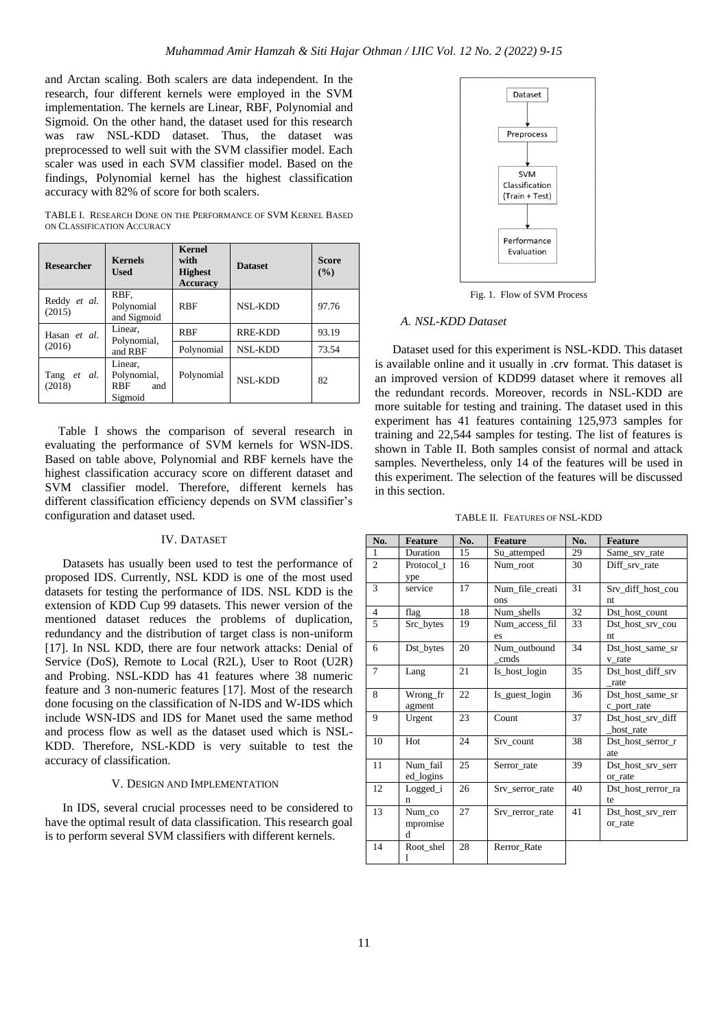and Arctan scaling. Both scalers are data independent. In the research, four different kernels were employed in the SVM implementation. The kernels are Linear, RBF, Polynomial and Sigmoid. On the other hand, the dataset used for this research was raw NSL-KDD dataset. Thus, the dataset was preprocessed to well suit with the SVM classifier model. Each scaler was used in each SVM classifier model. Based on the findings, Polynomial kernel has the highest classification accuracy with 82% of score for both scalers.

TABLE I. RESEARCH DONE ON THE PERFORMANCE OF SVM KERNEL BASED ON CLASSIFICATION ACCURACY

| <b>Researcher</b>      | <b>Kernels</b><br><b>Used</b>                          | <b>Kernel</b><br>with<br><b>Highest</b><br><b>Accuracy</b> | <b>Dataset</b> | <b>Score</b><br>$($ %) |
|------------------------|--------------------------------------------------------|------------------------------------------------------------|----------------|------------------------|
| Reddy et al.<br>(2015) | RBF.<br>Polynomial<br>and Sigmoid                      | <b>RBF</b>                                                 | <b>NSL-KDD</b> | 97.76                  |
| Hasan et al.           | Linear,<br>Polynomial,                                 | <b>RBF</b>                                                 | <b>RRE-KDD</b> | 93.19                  |
| (2016)                 | and RBF                                                | Polynomial                                                 | <b>NSL-KDD</b> | 73.54                  |
| Tang et al.<br>(2018)  | Linear.<br>Polynomial,<br><b>RBF</b><br>and<br>Sigmoid | Polynomial                                                 | <b>NSL-KDD</b> | 82                     |

Table I shows the comparison of several research in evaluating the performance of SVM kernels for WSN-IDS. Based on table above, Polynomial and RBF kernels have the highest classification accuracy score on different dataset and SVM classifier model. Therefore, different kernels has different classification efficiency depends on SVM classifier's configuration and dataset used.

## IV. DATASET

Datasets has usually been used to test the performance of proposed IDS. Currently, NSL KDD is one of the most used datasets for testing the performance of IDS. NSL KDD is the extension of KDD Cup 99 datasets. This newer version of the mentioned dataset reduces the problems of duplication, redundancy and the distribution of target class is non-uniform [17]. In NSL KDD, there are four network attacks: Denial of Service (DoS), Remote to Local (R2L), User to Root (U2R) and Probing. NSL-KDD has 41 features where 38 numeric feature and 3 non-numeric features [17]. Most of the research done focusing on the classification of N-IDS and W-IDS which include WSN-IDS and IDS for Manet used the same method and process flow as well as the dataset used which is NSL-KDD. Therefore, NSL-KDD is very suitable to test the accuracy of classification.

### V. DESIGN AND IMPLEMENTATION

In IDS, several crucial processes need to be considered to have the optimal result of data classification. This research goal is to perform several SVM classifiers with different kernels.



Fig. 1. Flow of SVM Process

#### *A. NSL-KDD Dataset*

Dataset used for this experiment is NSL-KDD. This dataset is available online and it usually in .crv format. This dataset is an improved version of KDD99 dataset where it removes all the redundant records. Moreover, records in NSL-KDD are more suitable for testing and training. The dataset used in this experiment has 41 features containing 125,973 samples for training and 22,544 samples for testing. The list of features is shown in Table II. Both samples consist of normal and attack samples. Nevertheless, only 14 of the features will be used in this experiment. The selection of the features will be discussed in this section.

TABLE II. FEATURES OF NSL-KDD

| No.            | <b>Feature</b>          | No. | <b>Feature</b>         | No. | <b>Feature</b>                  |
|----------------|-------------------------|-----|------------------------|-----|---------------------------------|
| $\mathbf{1}$   | Duration                | 15  | Su_attemped            | 29  | Same_srv_rate                   |
| $\overline{2}$ | Protocol t<br>ype       | 16  | Num root               | 30  | Diff srv rate                   |
| 3              | service                 | 17  | Num file creati<br>ons | 31  | Srv_diff_host_cou<br>nt         |
| $\overline{4}$ | flag                    | 18  | Num shells             | 32  | Dst_host_count                  |
| 5              | Src_bytes               | 19  | Num access fil<br>es   | 33  | Dst host srv cou<br>nt          |
| 6              | Dst_bytes               | 20  | Num_outbound<br>cmds   | 34  | Dst host same sr<br>v rate      |
| 7              | Lang                    | 21  | Is_host_login          | 35  | Dst_host_diff_srv<br>rate       |
| 8              | Wrong_fr<br>agment      | 22  | Is_guest_login         | 36  | Dst host_same_sr<br>c_port_rate |
| 9              | Urgent                  | 23  | Count                  | 37  | Dst_host_srv_diff<br>host rate  |
| 10             | Hot                     | 24  | Srv count              | 38  | Dst host serror r<br>ate        |
| 11             | Num fail<br>ed_logins   | 25  | Serror rate            | 39  | Dst host srv serr<br>or rate    |
| 12             | Logged_i<br>n           | 26  | Srv serror rate        | 40  | Dst_host_rerror_ra<br>te        |
| 13             | Num co<br>mpromise<br>d | 27  | Srv rerror rate        | 41  | Dst host srv rerr<br>or rate    |
| 14             | Root_shel<br>1          | 28  | Rerror Rate            |     |                                 |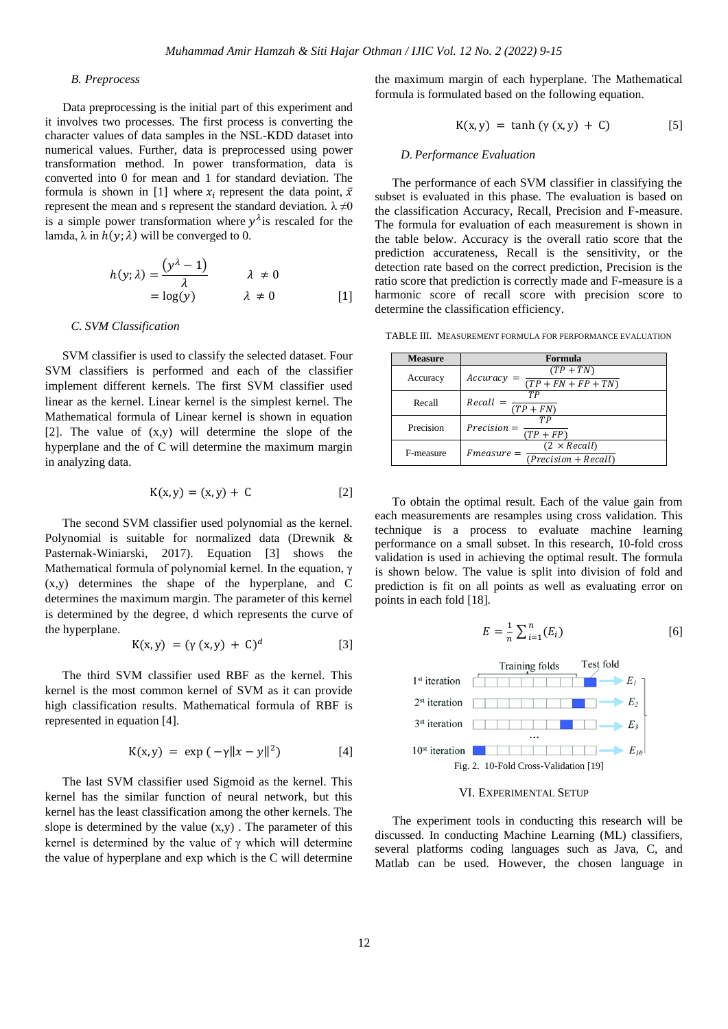## *B. Preprocess*

Data preprocessing is the initial part of this experiment and it involves two processes. The first process is converting the character values of data samples in the NSL-KDD dataset into numerical values. Further, data is preprocessed using power transformation method. In power transformation, data is converted into 0 for mean and 1 for standard deviation. The formula is shown in [1] where  $x_i$  represent the data point,  $\bar{x}$ represent the mean and s represent the standard deviation.  $\lambda \neq 0$ is a simple power transformation where  $y^{\lambda}$  is rescaled for the lamda,  $\lambda$  in  $h(y; \lambda)$  will be converged to 0.

$$
h(y; \lambda) = \frac{(y^{\lambda} - 1)}{\lambda} \qquad \lambda \neq 0
$$
  
= log(y) \qquad \lambda \neq 0 [1]

### *C. SVM Classification*

SVM classifier is used to classify the selected dataset. Four SVM classifiers is performed and each of the classifier implement different kernels. The first SVM classifier used linear as the kernel. Linear kernel is the simplest kernel. The Mathematical formula of Linear kernel is shown in equation [2]. The value of (x,y) will determine the slope of the hyperplane and the of C will determine the maximum margin in analyzing data.

$$
K(x, y) = (x, y) + C \tag{2}
$$

The second SVM classifier used polynomial as the kernel. Polynomial is suitable for normalized data (Drewnik & Pasternak-Winiarski, 2017). Equation [3] shows the Mathematical formula of polynomial kernel. In the equation, γ (x,y) determines the shape of the hyperplane, and C determines the maximum margin. The parameter of this kernel is determined by the degree, d which represents the curve of the hyperplane.

$$
K(x, y) = (\gamma(x, y) + C)^d
$$
 [3]

The third SVM classifier used RBF as the kernel. This kernel is the most common kernel of SVM as it can provide high classification results. Mathematical formula of RBF is represented in equation [4].

$$
K(x, y) = \exp(-\gamma ||x - y||^2)
$$
 [4]

The last SVM classifier used Sigmoid as the kernel. This kernel has the similar function of neural network, but this kernel has the least classification among the other kernels. The slope is determined by the value  $(x,y)$ . The parameter of this kernel is determined by the value of  $\gamma$  which will determine the value of hyperplane and exp which is the C will determine the maximum margin of each hyperplane. The Mathematical formula is formulated based on the following equation.

$$
K(x, y) = \tanh(y(x, y) + C) \tag{5}
$$

#### *D. Performance Evaluation*

The performance of each SVM classifier in classifying the subset is evaluated in this phase. The evaluation is based on the classification Accuracy, Recall, Precision and F-measure. The formula for evaluation of each measurement is shown in the table below. Accuracy is the overall ratio score that the prediction accurateness, Recall is the sensitivity, or the detection rate based on the correct prediction, Precision is the ratio score that prediction is correctly made and F-measure is a harmonic score of recall score with precision score to determine the classification efficiency.

TABLE III. MEASUREMENT FORMULA FOR PERFORMANCE EVALUATION

| <b>Measure</b> | Formula                                                       |
|----------------|---------------------------------------------------------------|
| Accuracy       | $(TP + TN)$<br>Accuracy<br>$(TP + FN + FP + TN)$              |
| Recall         | TР<br>Recall<br>$(TP + FN)$                                   |
| Precision      | TР<br>$Precision =$<br>$(TP + FP)$                            |
| F-measure      | $(2 \times Recall)$<br>$Fmeasure =$<br>$(Precision + Recall)$ |

To obtain the optimal result. Each of the value gain from each measurements are resamples using cross validation. This technique is a process to evaluate machine learning performance on a small subset. In this research, 10-fold cross validation is used in achieving the optimal result. The formula is shown below. The value is split into division of fold and prediction is fit on all points as well as evaluating error on points in each fold [18].

$$
E = \frac{1}{n} \sum_{i=1}^{n} (E_i)
$$
 [6]



VI. EXPERIMENTAL SETUP

The experiment tools in conducting this research will be discussed. In conducting Machine Learning (ML) classifiers, several platforms coding languages such as Java, C, and Matlab can be used. However, the chosen language in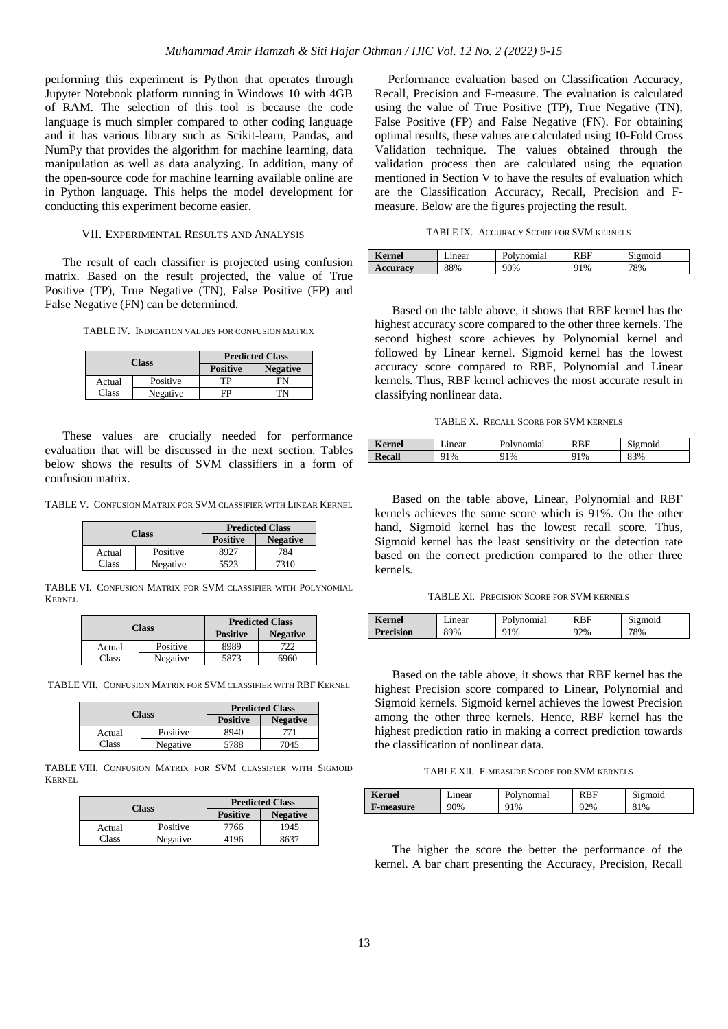performing this experiment is Python that operates through Jupyter Notebook platform running in Windows 10 with 4GB of RAM. The selection of this tool is because the code language is much simpler compared to other coding language and it has various library such as Scikit-learn, Pandas, and NumPy that provides the algorithm for machine learning, data manipulation as well as data analyzing. In addition, many of the open-source code for machine learning available online are in Python language. This helps the model development for conducting this experiment become easier.

# VII. EXPERIMENTAL RESULTS AND ANALYSIS

The result of each classifier is projected using confusion matrix. Based on the result projected, the value of True Positive (TP), True Negative (TN), False Positive (FP) and False Negative (FN) can be determined.

TABLE IV. INDICATION VALUES FOR CONFUSION MATRIX

| Class        |          | <b>Predicted Class</b> |                 |
|--------------|----------|------------------------|-----------------|
|              |          | <b>Positive</b>        | <b>Negative</b> |
| Actual       | Positive | TР                     | FN              |
| <b>Class</b> | Negative | FD                     | ΓN              |

These values are crucially needed for performance evaluation that will be discussed in the next section. Tables below shows the results of SVM classifiers in a form of confusion matrix.

TABLE V. CONFUSION MATRIX FOR SVM CLASSIFIER WITH LINEAR KERNEL

| <b>Class</b> |          | <b>Predicted Class</b>             |      |  |
|--------------|----------|------------------------------------|------|--|
|              |          | <b>Positive</b><br><b>Negative</b> |      |  |
| Actual       | Positive | 8927                               | 784  |  |
| Class        | Negative | 5523                               | 7310 |  |

TABLE VI. CONFUSION MATRIX FOR SVM CLASSIFIER WITH POLYNOMIAL KERNEL

| Class  |          | <b>Predicted Class</b> |                 |  |
|--------|----------|------------------------|-----------------|--|
|        |          |                        | <b>Negative</b> |  |
| Actual | Positive | 8989                   |                 |  |
| Class  | Negative | 5873                   | 6960            |  |

TABLE VII. CONFUSION MATRIX FOR SVM CLASSIFIER WITH RBF KERNEL

| Class  |          | <b>Predicted Class</b> |                 |
|--------|----------|------------------------|-----------------|
|        |          | <b>Positive</b>        | <b>Negative</b> |
| Actual | Positive | 8940                   | 771             |
| Class  | Negative | 5788                   | 7045            |

TABLE VIII. CONFUSION MATRIX FOR SVM CLASSIFIER WITH SIGMOID KERNEL

|        | <b>Class</b> | <b>Predicted Class</b> |                 |  |
|--------|--------------|------------------------|-----------------|--|
|        |              | <b>Positive</b>        | <b>Negative</b> |  |
| Actual | Positive     | 7766                   | 1945            |  |
| Class  | Negative     | 4196                   | 8637            |  |

Performance evaluation based on Classification Accuracy, Recall, Precision and F-measure. The evaluation is calculated using the value of True Positive (TP), True Negative (TN), False Positive (FP) and False Negative (FN). For obtaining optimal results, these values are calculated using 10-Fold Cross Validation technique. The values obtained through the validation process then are calculated using the equation mentioned in Section V to have the results of evaluation which are the Classification Accuracy, Recall, Precision and Fmeasure. Below are the figures projecting the result.

|  | TABLE IX. ACCURACY SCORE FOR SVM KERNELS |  |  |  |
|--|------------------------------------------|--|--|--|
|--|------------------------------------------|--|--|--|

| <b>Kernel</b>   | hnear | olvnomial | <b>RBF</b> | $\sim$<br>Sigmoid |
|-----------------|-------|-----------|------------|-------------------|
| <b>Accuracy</b> | 88%   | 90%       | ን1%        | 78%               |

Based on the table above, it shows that RBF kernel has the highest accuracy score compared to the other three kernels. The second highest score achieves by Polynomial kernel and followed by Linear kernel. Sigmoid kernel has the lowest accuracy score compared to RBF, Polynomial and Linear kernels. Thus, RBF kernel achieves the most accurate result in classifying nonlinear data.

TABLE X. RECALL SCORE FOR SVM KERNELS

| $\mathbf{r}$<br>Kernel | ınear | ™nal<br>alvr | RBF | റവറ            |
|------------------------|-------|--------------|-----|----------------|
| <b>Recall</b><br>m     | 1%    | ን1%          | 1%  | <sup>23%</sup> |

Based on the table above, Linear, Polynomial and RBF kernels achieves the same score which is 91%. On the other hand, Sigmoid kernel has the lowest recall score. Thus, Sigmoid kernel has the least sensitivity or the detection rate based on the correct prediction compared to the other three kernels.

TABLE XI. PRECISION SCORE FOR SVM KERNELS

| <b>Kernel</b>    | ∟ınear | Polynomial | RBF | Sigmoid |
|------------------|--------|------------|-----|---------|
| <b>Precision</b> | 89%    | 91%        | 92% | 78%     |

Based on the table above, it shows that RBF kernel has the highest Precision score compared to Linear, Polynomial and Sigmoid kernels. Sigmoid kernel achieves the lowest Precision among the other three kernels. Hence, RBF kernel has the highest prediction ratio in making a correct prediction towards the classification of nonlinear data.

TABLE XII. F-MEASURE SCORE FOR SVM KERNELS

| Kernel    | ∟ınear | Polynomial | RBF | Sigmoid |
|-----------|--------|------------|-----|---------|
| F-measure | 90%    | 91%        | 92% | 81%     |

The higher the score the better the performance of the kernel. A bar chart presenting the Accuracy, Precision, Recall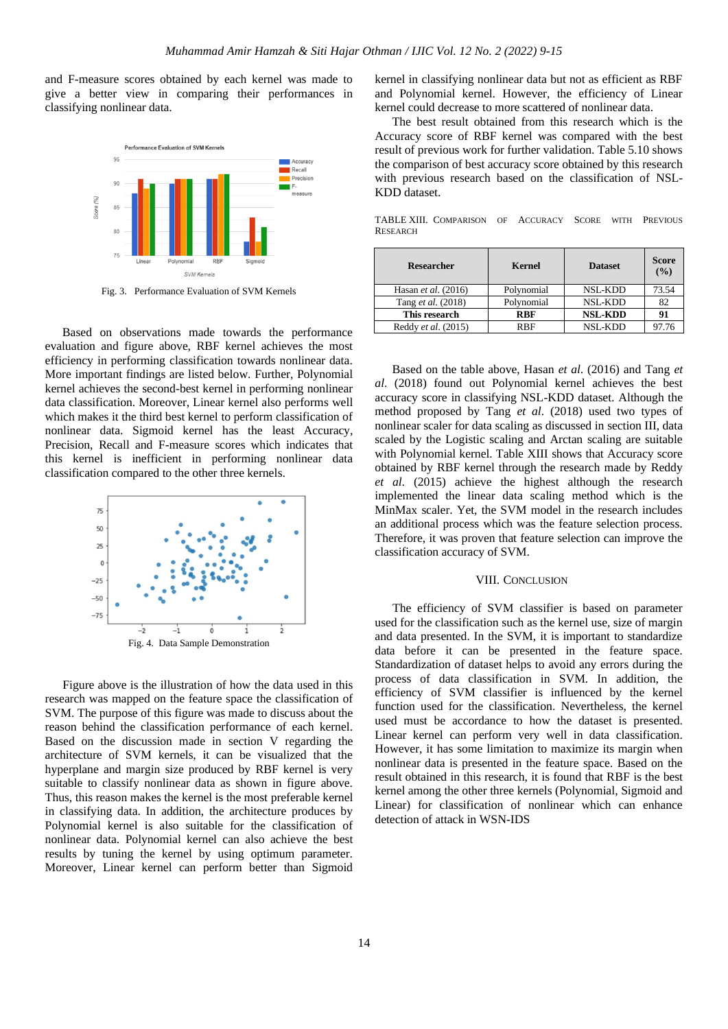and F-measure scores obtained by each kernel was made to give a better view in comparing their performances in classifying nonlinear data.



Fig. 3. Performance Evaluation of SVM Kernels

Based on observations made towards the performance evaluation and figure above, RBF kernel achieves the most efficiency in performing classification towards nonlinear data. More important findings are listed below. Further, Polynomial kernel achieves the second-best kernel in performing nonlinear data classification. Moreover, Linear kernel also performs well which makes it the third best kernel to perform classification of nonlinear data. Sigmoid kernel has the least Accuracy, Precision, Recall and F-measure scores which indicates that this kernel is inefficient in performing nonlinear data classification compared to the other three kernels.



Figure above is the illustration of how the data used in this research was mapped on the feature space the classification of SVM. The purpose of this figure was made to discuss about the reason behind the classification performance of each kernel. Based on the discussion made in section V regarding the architecture of SVM kernels, it can be visualized that the hyperplane and margin size produced by RBF kernel is very suitable to classify nonlinear data as shown in figure above. Thus, this reason makes the kernel is the most preferable kernel in classifying data. In addition, the architecture produces by Polynomial kernel is also suitable for the classification of nonlinear data. Polynomial kernel can also achieve the best results by tuning the kernel by using optimum parameter. Moreover, Linear kernel can perform better than Sigmoid

kernel in classifying nonlinear data but not as efficient as RBF and Polynomial kernel. However, the efficiency of Linear kernel could decrease to more scattered of nonlinear data.

The best result obtained from this research which is the Accuracy score of RBF kernel was compared with the best result of previous work for further validation. Table 5.10 shows the comparison of best accuracy score obtained by this research with previous research based on the classification of NSL-KDD dataset.

TABLE XIII. COMPARISON OF ACCURACY SCORE WITH PREVIOUS **RESEARCH** 

| <b>Researcher</b>     | Kernel     | <b>Dataset</b> | Score<br>(%) |
|-----------------------|------------|----------------|--------------|
| Hasan et al. $(2016)$ | Polynomial | <b>NSL-KDD</b> | 73.54        |
| Tang et al. (2018)    | Polynomial | <b>NSL-KDD</b> | 82           |
| This research         | <b>RBF</b> | <b>NSL-KDD</b> | 91           |
| Reddy et al. (2015)   | <b>RBF</b> | NSL-KDD        |              |

Based on the table above, Hasan *et al*. (2016) and Tang *et al*. (2018) found out Polynomial kernel achieves the best accuracy score in classifying NSL-KDD dataset. Although the method proposed by Tang *et al*. (2018) used two types of nonlinear scaler for data scaling as discussed in section III, data scaled by the Logistic scaling and Arctan scaling are suitable with Polynomial kernel. Table XIII shows that Accuracy score obtained by RBF kernel through the research made by Reddy *et al*. (2015) achieve the highest although the research implemented the linear data scaling method which is the MinMax scaler. Yet, the SVM model in the research includes an additional process which was the feature selection process. Therefore, it was proven that feature selection can improve the classification accuracy of SVM.

## VIII. CONCLUSION

The efficiency of SVM classifier is based on parameter used for the classification such as the kernel use, size of margin and data presented. In the SVM, it is important to standardize data before it can be presented in the feature space. Standardization of dataset helps to avoid any errors during the process of data classification in SVM. In addition, the efficiency of SVM classifier is influenced by the kernel function used for the classification. Nevertheless, the kernel used must be accordance to how the dataset is presented. Linear kernel can perform very well in data classification. However, it has some limitation to maximize its margin when nonlinear data is presented in the feature space. Based on the result obtained in this research, it is found that RBF is the best kernel among the other three kernels (Polynomial, Sigmoid and Linear) for classification of nonlinear which can enhance detection of attack in WSN-IDS